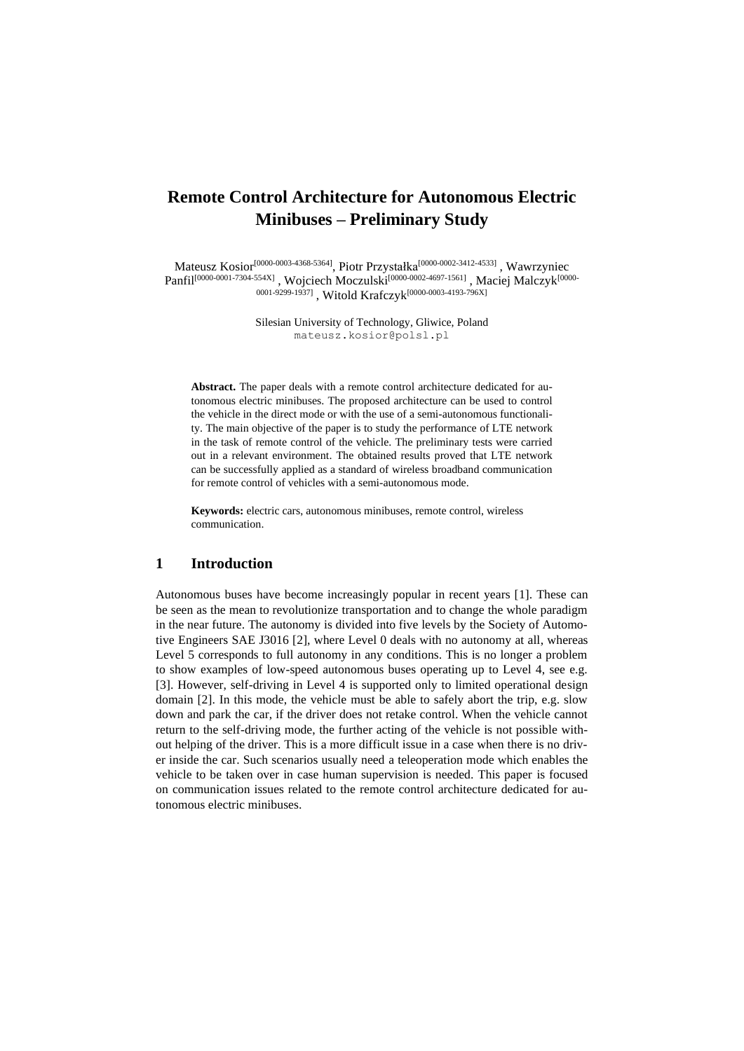# **Remote Control Architecture for Autonomous Electric Minibuses – Preliminary Study**

Mateusz Kosior<sup>[0000-0003-4368-5364]</sup>, Piotr Przystałka<sup>[0000-0002-3412-4533]</sup>, Wawrzyniec Panfil<sup>[0000-0001-7304-554X]</sup> , Wojciech Moczulski<sup>[0000-0002-4697-1561]</sup> , Maciej Malczyk<sup>[0000-</sup> 0001-9299-1937], Witold Krafczyk<sup>[0000-0003-4193-796X]</sup>

> Silesian University of Technology, Gliwice, Poland mateusz.kosior@polsl.pl

**Abstract.** The paper deals with a remote control architecture dedicated for autonomous electric minibuses. The proposed architecture can be used to control the vehicle in the direct mode or with the use of a semi-autonomous functionality. The main objective of the paper is to study the performance of LTE network in the task of remote control of the vehicle. The preliminary tests were carried out in a relevant environment. The obtained results proved that LTE network can be successfully applied as a standard of wireless broadband communication for remote control of vehicles with a semi-autonomous mode.

**Keywords:** electric cars, autonomous minibuses, remote control, wireless communication.

## **1 Introduction**

Autonomous buses have become increasingly popular in recent years [1]. These can be seen as the mean to revolutionize transportation and to change the whole paradigm in the near future. The autonomy is divided into five levels by the Society of Automotive Engineers SAE J3016 [2], where Level 0 deals with no autonomy at all, whereas Level 5 corresponds to full autonomy in any conditions. This is no longer a problem to show examples of low-speed autonomous buses operating up to Level 4, see e.g. [3]. However, self-driving in Level 4 is supported only to limited operational design domain [2]. In this mode, the vehicle must be able to safely abort the trip, e.g. slow down and park the car, if the driver does not retake control. When the vehicle cannot return to the self-driving mode, the further acting of the vehicle is not possible without helping of the driver. This is a more difficult issue in a case when there is no driver inside the car. Such scenarios usually need a teleoperation mode which enables the vehicle to be taken over in case human supervision is needed. This paper is focused on communication issues related to the remote control architecture dedicated for autonomous electric minibuses.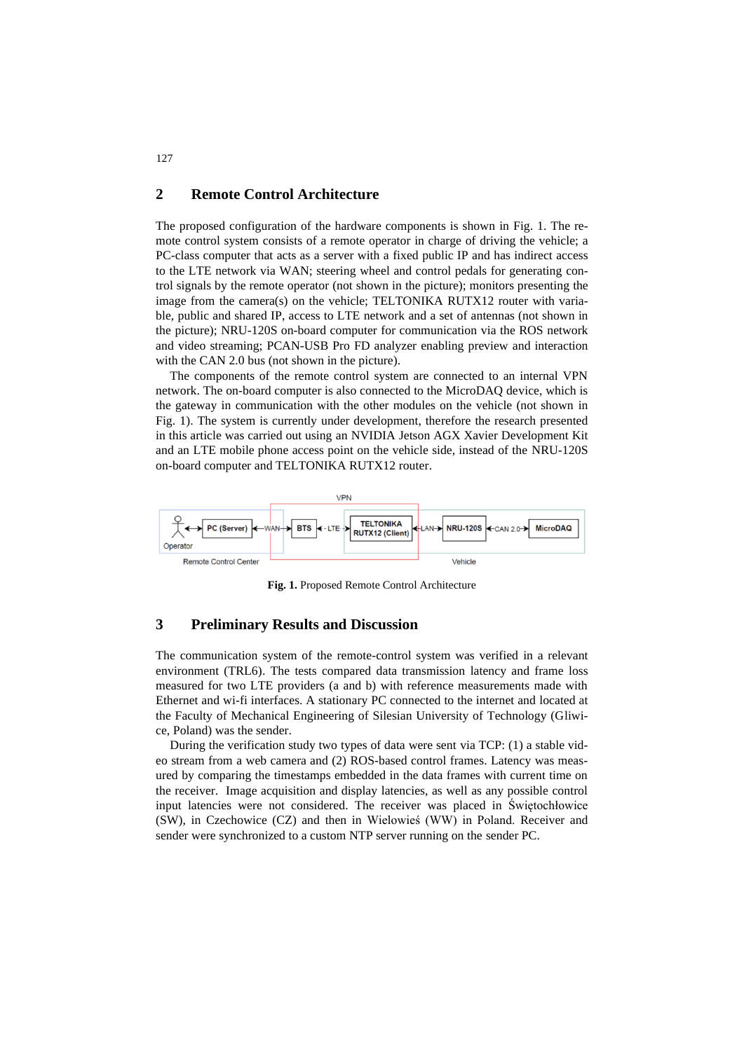# **2 Remote Control Architecture**

The proposed configuration of the hardware components is shown in [Fig. 1.](#page-1-0) The remote control system consists of a remote operator in charge of driving the vehicle; a PC-class computer that acts as a server with a fixed public IP and has indirect access to the LTE network via WAN; steering wheel and control pedals for generating control signals by the remote operator (not shown in the picture); monitors presenting the image from the camera(s) on the vehicle; TELTONIKA RUTX12 router with variable, public and shared IP, access to LTE network and a set of antennas (not shown in the picture); NRU-120S on-board computer for communication via the ROS network and video streaming; PCAN-USB Pro FD analyzer enabling preview and interaction with the CAN 2.0 bus (not shown in the picture).

The components of the remote control system are connected to an internal VPN network. The on-board computer is also connected to the MicroDAQ device, which is the gateway in communication with the other modules on the vehicle (not shown in [Fig. 1\)](#page-1-0). The system is currently under development, therefore the research presented in this article was carried out using an NVIDIA Jetson AGX Xavier Development Kit and an LTE mobile phone access point on the vehicle side, instead of the NRU-120S on-board computer and TELTONIKA RUTX12 router.



**Fig. 1.** Proposed Remote Control Architecture

### <span id="page-1-0"></span>**3 Preliminary Results and Discussion**

The communication system of the remote-control system was verified in a relevant environment (TRL6). The tests compared data transmission latency and frame loss measured for two LTE providers (a and b) with reference measurements made with Ethernet and wi-fi interfaces. A stationary PC connected to the internet and located at the Faculty of Mechanical Engineering of Silesian University of Technology (Gliwice, Poland) was the sender.

During the verification study two types of data were sent via TCP: (1) a stable video stream from a web camera and (2) ROS-based control frames. Latency was measured by comparing the timestamps embedded in the data frames with current time on the receiver. Image acquisition and display latencies, as well as any possible control input latencies were not considered. The receiver was placed in Świętochłowice (SW), in Czechowice (CZ) and then in Wielowieś (WW) in Poland. Receiver and sender were synchronized to a custom NTP server running on the sender PC.

127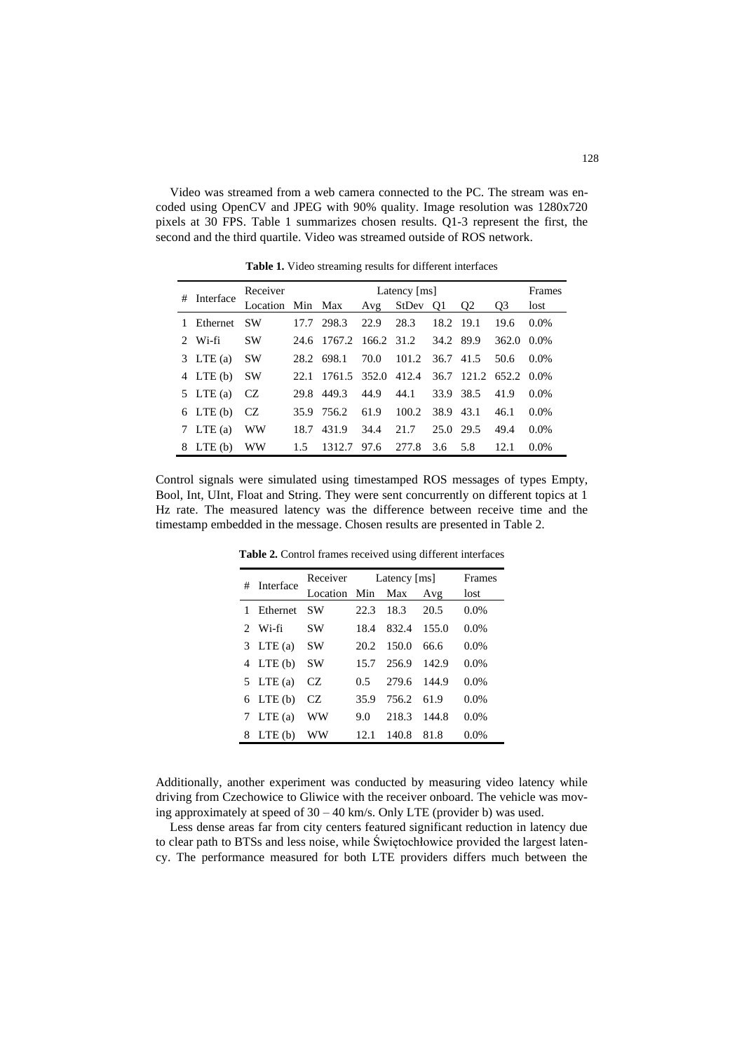Video was streamed from a web camera connected to the PC. The stream was encoded using OpenCV and JPEG with 90% quality. Image resolution was 1280x720 pixels at 30 FPS. [Table 1](#page-2-0) summarizes chosen results. Q1-3 represent the first, the second and the third quartile. Video was streamed outside of ROS network.

<span id="page-2-0"></span>

| #           | Interface     | Receiver<br>Latency [ms] |      |                   |       |          |           |            | Frames         |         |
|-------------|---------------|--------------------------|------|-------------------|-------|----------|-----------|------------|----------------|---------|
|             |               | Location Min Max         |      |                   | Avg   | StDev Q1 |           | 02         | O <sub>3</sub> | lost    |
|             | Ethernet      | <b>SW</b>                | 17.7 | 298.3             | 22.9  | 28.3     | 18.2      | 19.1       | 19.6           | $0.0\%$ |
| $2^{\circ}$ | Wi-fi         | <b>SW</b>                | 24.6 | 1767.2 166.2 31.2 |       |          |           | 34.2 89.9  | 362.0          | $0.0\%$ |
|             | $3$ LTE (a)   | <b>SW</b>                | 28.2 | 698.1             | 70.0  | 101.2    | 36.7 41.5 |            | 50.6           | $0.0\%$ |
|             | $4$ LTE (b)   | <b>SW</b>                | 22.1 | 1761.5            | 352.0 | 412.4    |           | 36.7 121.2 | 652.2 0.0%     |         |
|             | 5 LTE (a)     | CZ                       | 29.8 | 449.3             | 44.9  | 44.1     | 33.9      | 38.5       | 41.9           | $0.0\%$ |
|             | $6$ LTE $(b)$ | CZ                       | 35.9 | 756.2             | 61.9  | 100.2    | 38.9 43.1 |            | 46.1           | $0.0\%$ |
|             | 7 LTE (a)     | WW                       | 18.7 | 431.9             | 34.4  | 21.7     | 25.0      | 29.5       | 49.4           | 0.0%    |
|             | 8 LTE (b)     | WW                       | 1.5  | 1312.7            | 97.6  | 2.77.8   | 3.6       | 5.8        | 12.1           | $0.0\%$ |

**Table 1.** Video streaming results for different interfaces

<span id="page-2-1"></span>Control signals were simulated using timestamped ROS messages of types Empty, Bool, Int, UInt, Float and String. They were sent concurrently on different topics at 1 Hz rate. The measured latency was the difference between receive time and the timestamp embedded in the message. Chosen results are presented in [Table 2.](#page-2-1)

| # | Interface     | Receiver Latency [ms] |         | Frames      |       |         |
|---|---------------|-----------------------|---------|-------------|-------|---------|
|   |               | Location              | Min Max |             | Avg   | lost    |
|   | Ethernet      | SW                    | 22.3    | 18.3        | 20.5  | 0.0%    |
|   | $2$ Wi-fi     | <b>SW</b>             | 18.4    | 832.4       | 155.0 | 0.0%    |
|   | 3 LTE (a)     | <b>SW</b>             | 20.2    | 150.0       | 66.6  | 0.0%    |
|   | $4$ LTE (b)   | <b>SW</b>             | 15.7    | 256.9       | 142.9 | 0.0%    |
|   | 5 LTE (a)     | CZ.                   | 0.5     | 279.6 144.9 |       | 0.0%    |
|   | $6$ LTE $(b)$ | CZ.                   | 35.9    | 756.2       | 61.9  | 0.0%    |
|   | 7 LTE (a)     | WW                    | 9.0     | 218.3       | 144.8 | 0.0%    |
| 8 | $LTE$ (b)     | WW                    | 12.1    | 140.8       | 81.8  | $0.0\%$ |

**Table 2.** Control frames received using different interfaces

Additionally, another experiment was conducted by measuring video latency while driving from Czechowice to Gliwice with the receiver onboard. The vehicle was moving approximately at speed of  $30 - 40$  km/s. Only LTE (provider b) was used.

Less dense areas far from city centers featured significant reduction in latency due to clear path to BTSs and less noise, while Świętochłowice provided the largest latency. The performance measured for both LTE providers differs much between the